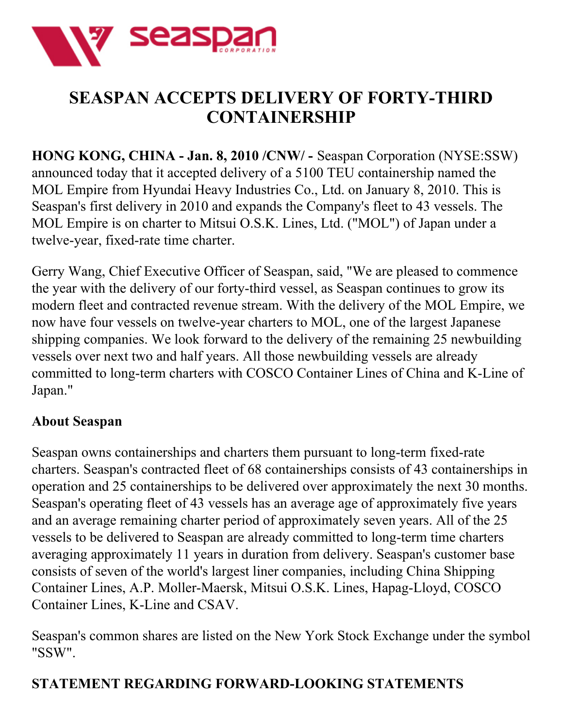

## **SEASPAN ACCEPTS DELIVERY OF FORTY-THIRD CONTAINERSHIP**

**HONG KONG, CHINA - Jan. 8, 2010 /CNW/ -** Seaspan Corporation (NYSE:SSW) announced today that it accepted delivery of a 5100 TEU containership named the MOL Empire from Hyundai Heavy Industries Co., Ltd. on January 8, 2010. This is Seaspan's first delivery in 2010 and expands the Company's fleet to 43 vessels. The MOL Empire is on charter to Mitsui O.S.K. Lines, Ltd. ("MOL") of Japan under a twelve-year, fixed-rate time charter.

Gerry Wang, Chief Executive Officer of Seaspan, said, "We are pleased to commence the year with the delivery of our forty-third vessel, as Seaspan continues to grow its modern fleet and contracted revenue stream. With the delivery of the MOL Empire, we now have four vessels on twelve-year charters to MOL, one of the largest Japanese shipping companies. We look forward to the delivery of the remaining 25 newbuilding vessels over next two and half years. All those newbuilding vessels are already committed to long-term charters with COSCO Container Lines of China and K-Line of Japan."

## **About Seaspan**

Seaspan owns containerships and charters them pursuant to long-term fixed-rate charters. Seaspan's contracted fleet of 68 containerships consists of 43 containerships in operation and 25 containerships to be delivered over approximately the next 30 months. Seaspan's operating fleet of 43 vessels has an average age of approximately five years and an average remaining charter period of approximately seven years. All of the 25 vessels to be delivered to Seaspan are already committed to long-term time charters averaging approximately 11 years in duration from delivery. Seaspan's customer base consists of seven of the world's largest liner companies, including China Shipping Container Lines, A.P. Moller-Maersk, Mitsui O.S.K. Lines, Hapag-Lloyd, COSCO Container Lines, K-Line and CSAV.

Seaspan's common shares are listed on the New York Stock Exchange under the symbol "SSW".

## **STATEMENT REGARDING FORWARD-LOOKING STATEMENTS**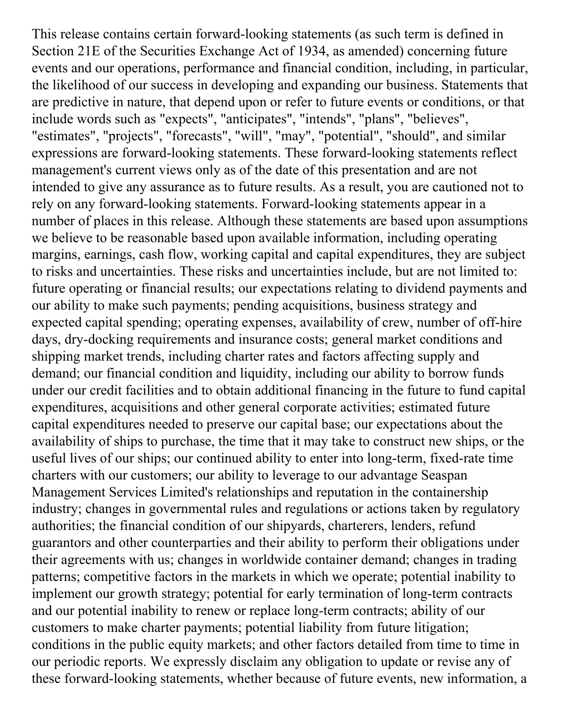This release contains certain forward-looking statements (as such term is defined in Section 21E of the Securities Exchange Act of 1934, as amended) concerning future events and our operations, performance and financial condition, including, in particular, the likelihood of our success in developing and expanding our business. Statements that are predictive in nature, that depend upon or refer to future events or conditions, or that include words such as "expects", "anticipates", "intends", "plans", "believes", "estimates", "projects", "forecasts", "will", "may", "potential", "should", and similar expressions are forward-looking statements. These forward-looking statements reflect management's current views only as of the date of this presentation and are not intended to give any assurance as to future results. As a result, you are cautioned not to rely on any forward-looking statements. Forward-looking statements appear in a number of places in this release. Although these statements are based upon assumptions we believe to be reasonable based upon available information, including operating margins, earnings, cash flow, working capital and capital expenditures, they are subject to risks and uncertainties. These risks and uncertainties include, but are not limited to: future operating or financial results; our expectations relating to dividend payments and our ability to make such payments; pending acquisitions, business strategy and expected capital spending; operating expenses, availability of crew, number of off-hire days, dry-docking requirements and insurance costs; general market conditions and shipping market trends, including charter rates and factors affecting supply and demand; our financial condition and liquidity, including our ability to borrow funds under our credit facilities and to obtain additional financing in the future to fund capital expenditures, acquisitions and other general corporate activities; estimated future capital expenditures needed to preserve our capital base; our expectations about the availability of ships to purchase, the time that it may take to construct new ships, or the useful lives of our ships; our continued ability to enter into long-term, fixed-rate time charters with our customers; our ability to leverage to our advantage Seaspan Management Services Limited's relationships and reputation in the containership industry; changes in governmental rules and regulations or actions taken by regulatory authorities; the financial condition of our shipyards, charterers, lenders, refund guarantors and other counterparties and their ability to perform their obligations under their agreements with us; changes in worldwide container demand; changes in trading patterns; competitive factors in the markets in which we operate; potential inability to implement our growth strategy; potential for early termination of long-term contracts and our potential inability to renew or replace long-term contracts; ability of our customers to make charter payments; potential liability from future litigation; conditions in the public equity markets; and other factors detailed from time to time in our periodic reports. We expressly disclaim any obligation to update or revise any of these forward-looking statements, whether because of future events, new information, a